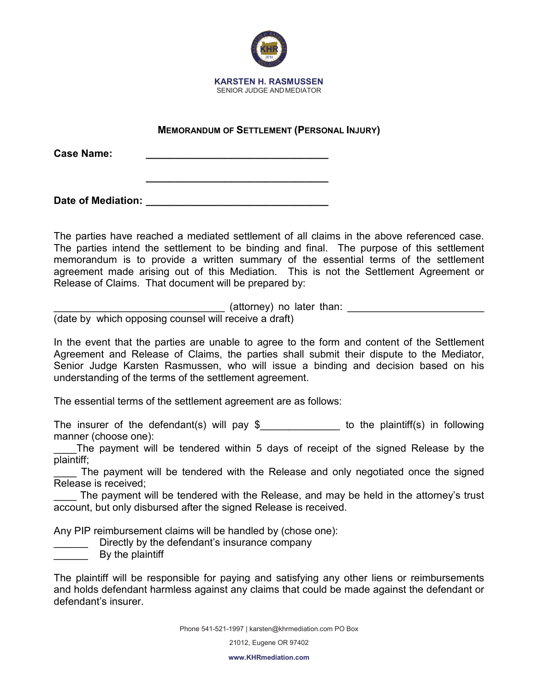

## **MEMORANDUM OF SETTLEMENT (PERSONAL INJURY)**

**\_\_\_\_\_\_\_\_\_\_\_\_\_\_\_\_\_\_\_\_\_\_\_\_\_\_\_\_\_\_\_\_**

**Case Name: \_\_\_\_\_\_\_\_\_\_\_\_\_\_\_\_\_\_\_\_\_\_\_\_\_\_\_\_\_\_\_\_**

**Date of Mediation: \_\_\_\_\_\_\_\_\_\_\_\_\_\_\_\_\_\_\_\_\_\_\_\_\_\_\_\_\_\_\_\_**

The parties have reached a mediated settlement of all claims in the above referenced case. The parties intend the settlement to be binding and final. The purpose of this settlement memorandum is to provide a written summary of the essential terms of the settlement agreement made arising out of this Mediation. This is not the Settlement Agreement or Release of Claims. That document will be prepared by:

 $($ attorney) no later than:  $\qquad \qquad \qquad$ 

(date by which opposing counsel will receive a draft)

In the event that the parties are unable to agree to the form and content of the Settlement Agreement and Release of Claims, the parties shall submit their dispute to the Mediator, Senior Judge Karsten Rasmussen, who will issue a binding and decision based on his understanding of the terms of the settlement agreement.

The essential terms of the settlement agreement are as follows:

The insurer of the defendant(s) will pay  $\frac{1}{2}$  to the plaintiff(s) in following manner (choose one):

The payment will be tendered within 5 days of receipt of the signed Release by the plaintiff;

The payment will be tendered with the Release and only negotiated once the signed Release is received;

The payment will be tendered with the Release, and may be held in the attorney's trust account, but only disbursed after the signed Release is received.

Any PIP reimbursement claims will be handled by (chose one):

Directly by the defendant's insurance company

\_\_\_\_\_\_ By the plaintiff

The plaintiff will be responsible for paying and satisfying any other liens or reimbursements and holds defendant harmless against any claims that could be made against the defendant or defendant's insurer.

Phone 541-521-19[97 | karsten@khrmediation.com](mailto:karsten@khrmediation.com) PO Box

21012, Eugene OR 97402

**[www.KHRmediation.com](http://www.khrmediation.com/)**